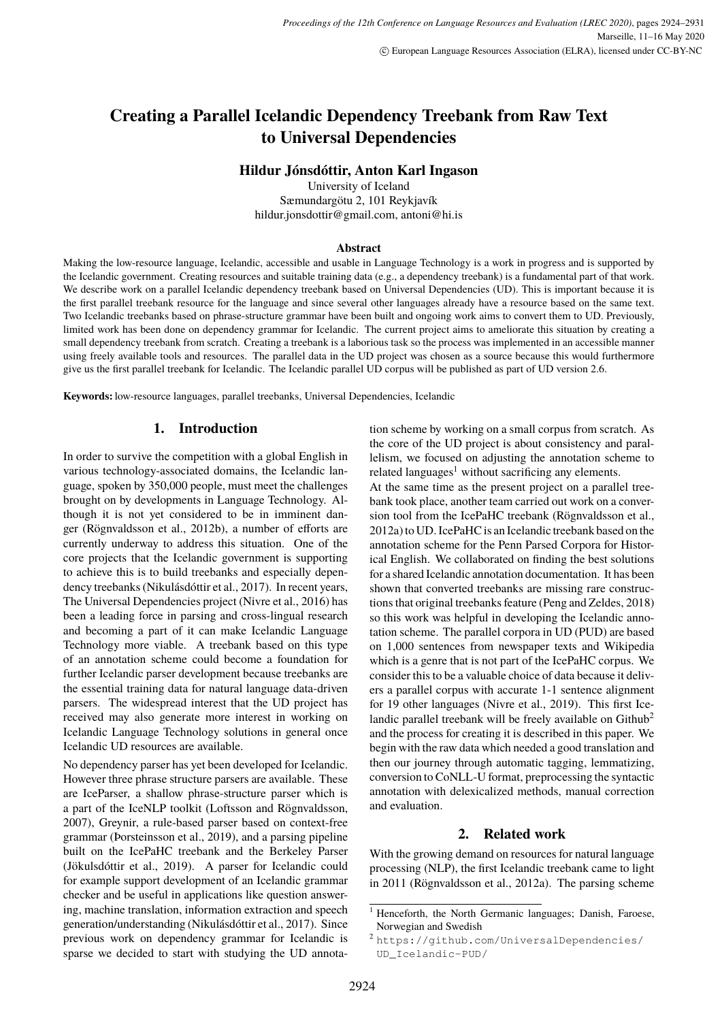# <span id="page-0-0"></span>**Creating a Parallel Icelandic Dependency Treebank from Raw Text to Universal Dependencies**

### **Hildur Jónsdóttir, Anton Karl Ingason**

University of Iceland Sæmundargötu 2, 101 Reykjavík hildur.jonsdottir@gmail.com, antoni@hi.is

#### **Abstract**

Making the low-resource language, Icelandic, accessible and usable in Language Technology is a work in progress and is supported by the Icelandic government. Creating resources and suitable training data (e.g., a dependency treebank) is a fundamental part of that work. We describe work on a parallel Icelandic dependency treebank based on Universal Dependencies (UD). This is important because it is the first parallel treebank resource for the language and since several other languages already have a resource based on the same text. Two Icelandic treebanks based on phrase-structure grammar have been built and ongoing work aims to convert them to UD. Previously, limited work has been done on dependency grammar for Icelandic. The current project aims to ameliorate this situation by creating a small dependency treebank from scratch. Creating a treebank is a laborious task so the process was implemented in an accessible manner using freely available tools and resources. The parallel data in the UD project was chosen as a source because this would furthermore give us the first parallel treebank for Icelandic. The Icelandic parallel UD corpus will be published as part of UD version 2.6.

**Keywords:** low-resource languages, parallel treebanks, Universal Dependencies, Icelandic

### **1. Introduction**

In order to survive the competition with a global English in various technology-associated domains, the Icelandic language, spoken by 350,000 people, must meet the challenges brought on by developments in Language Technology. Although it is not yet considered to be in imminent danger (Rögnvaldsson et al., 2012b), a number of efforts are currently underway to address this situation. One of the core projects that the Icelandic government is supporting to achieve this is to build treebanks and especially dependency treebanks (Nikulásdóttir et al., 2017). In recent years, The Universal Dependencies project (Nivre et al., 2016) has been a leading force in parsing and cross-lingual research and becoming a part of it can make Icelandic Language Technology more viable. A treebank based on this type of an annotation scheme could become a foundation for further Icelandic parser development because treebanks are the essential training data for natural language data-driven parsers. The widespread interest that the UD project has received may also generate more interest in working on Icelandic Language Technology solutions in general once Icelandic UD resources are available.

No dependency parser has yet been developed for Icelandic. However three phrase structure parsers are available. These are IceParser, a shallow phrase-structure parser which is a part of the IceNLP toolkit (Loftsson and Rögnvaldsson, 2007), Greynir, a rule-based parser based on context-free grammar (Þorsteinsson et al., 2019), and a parsing pipeline built on the IcePaHC treebank and the Berkeley Parser (Jökulsdóttir et al., 2019). A parser for Icelandic could for example support development of an Icelandic grammar checker and be useful in applications like question answering, machine translation, information extraction and speech generation/understanding (Nikulásdóttir et al., 2017). Since previous work on dependency grammar for Icelandic is sparse we decided to start with studying the UD annotation scheme by working on a small corpus from scratch. As the core of the UD project is about consistency and parallelism, we focused on adjusting the annotation scheme to related languages<sup>1</sup> without sacrificing any elements.

At the same time as the present project on a parallel treebank took place, another team carried out work on a conversion tool from the IcePaHC treebank (Rögnvaldsson et al., 2012a) to UD. IcePaHC is an Icelandic treebank based on the annotation scheme for the Penn Parsed Corpora for Historical English. We collaborated on finding the best solutions for a shared Icelandic annotation documentation. It has been shown that converted treebanks are missing rare constructions that original treebanks feature (Peng and Zeldes, 2018) so this work was helpful in developing the Icelandic annotation scheme. The parallel corpora in UD (PUD) are based on 1,000 sentences from newspaper texts and Wikipedia which is a genre that is not part of the IcePaHC corpus. We consider this to be a valuable choice of data because it delivers a parallel corpus with accurate 1-1 sentence alignment for 19 other languages (Nivre et al., 2019). This first Icelandic parallel treebank will be freely available on Github<sup>2</sup> and the process for creating it is described in this paper. We begin with the raw data which needed a good translation and then our journey through automatic tagging, lemmatizing, conversion to CoNLL-U format, preprocessing the syntactic annotation with delexicalized methods, manual correction and evaluation.

#### **2. Related work**

With the growing demand on resources for natural language processing (NLP), the first Icelandic treebank came to light in 2011 (Rögnvaldsson et al., 2012a). The parsing scheme

<sup>&</sup>lt;sup>1</sup> Henceforth, the North Germanic languages; Danish, Faroese, Norwegian and Swedish

<sup>2</sup> [https://github.com/UniversalDependencies/](https://github.com/UniversalDependencies/UD_Icelandic-PUD/) [UD\\_Icelandic-PUD/](https://github.com/UniversalDependencies/UD_Icelandic-PUD/)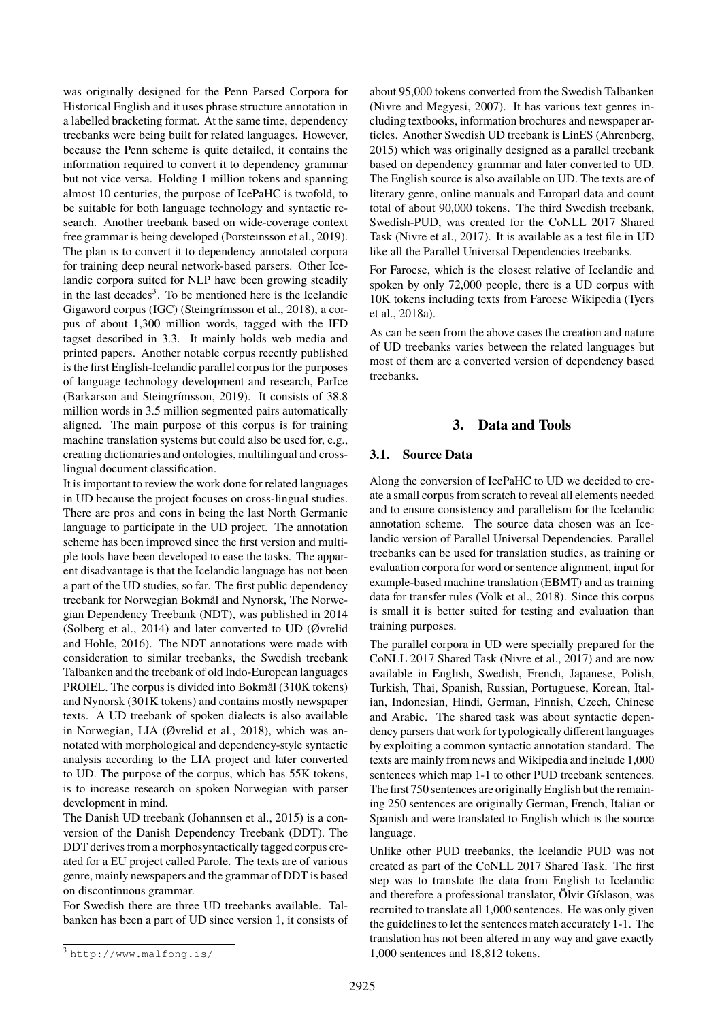was originally designed for the Penn Parsed Corpora for Historical English and it uses phrase structure annotation in a labelled bracketing format. At the same time, dependency treebanks were being built for related languages. However, because the Penn scheme is quite detailed, it contains the information required to convert it to dependency grammar but not vice versa. Holding 1 million tokens and spanning almost 10 centuries, the purpose of IcePaHC is twofold, to be suitable for both language technology and syntactic research. Another treebank based on wide-coverage context free grammar is being developed [\(Þorsteinsson et al., 2019\)](#page-0-0). The plan is to convert it to dependency annotated corpora for training deep neural network-based parsers. Other Icelandic corpora suited for NLP have been growing steadily in the last decades<sup>[3](#page-0-0)</sup>. To be mentioned here is the Icelandic Gigaword corpus (IGC) [\(Steingrímsson et al., 2018\)](#page-0-0), a corpus of about 1,300 million words, tagged with the IFD tagset described in [3.3.](#page-2-0) It mainly holds web media and printed papers. Another notable corpus recently published is the first English-Icelandic parallel corpus for the purposes of language technology development and research, ParIce [\(Barkarson and Steingrímsson, 2019\)](#page-0-0). It consists of 38.8 million words in 3.5 million segmented pairs automatically aligned. The main purpose of this corpus is for training machine translation systems but could also be used for, e.g., creating dictionaries and ontologies, multilingual and crosslingual document classification.

It is important to review the work done for related languages in UD because the project focuses on cross-lingual studies. There are pros and cons in being the last North Germanic language to participate in the UD project. The annotation scheme has been improved since the first version and multiple tools have been developed to ease the tasks. The apparent disadvantage is that the Icelandic language has not been a part of the UD studies, so far. The first public dependency treebank for Norwegian Bokmål and Nynorsk, The Norwegian Dependency Treebank (NDT), was published in 2014 [\(Solberg et al., 2014\)](#page-0-0) and later converted to UD [\(Øvrelid](#page-0-0) [and Hohle, 2016\)](#page-0-0). The NDT annotations were made with consideration to similar treebanks, the Swedish treebank Talbanken and the treebank of old Indo-European languages PROIEL. The corpus is divided into Bokmål (310K tokens) and Nynorsk (301K tokens) and contains mostly newspaper texts. A UD treebank of spoken dialects is also available in Norwegian, LIA [\(Øvrelid et al., 2018\)](#page-0-0), which was annotated with morphological and dependency-style syntactic analysis according to the LIA project and later converted to UD. The purpose of the corpus, which has 55K tokens, is to increase research on spoken Norwegian with parser development in mind.

The Danish UD treebank [\(Johannsen et al., 2015\)](#page-0-0) is a conversion of the Danish Dependency Treebank (DDT). The DDT derives from a morphosyntactically tagged corpus created for a EU project called Parole. The texts are of various genre, mainly newspapers and the grammar of DDT is based on discontinuous grammar.

For Swedish there are three UD treebanks available. Talbanken has been a part of UD since version 1, it consists of about 95,000 tokens converted from the Swedish Talbanken [\(Nivre and Megyesi, 2007\)](#page-0-0). It has various text genres including textbooks, information brochures and newspaper articles. Another Swedish UD treebank is LinES [\(Ahrenberg,](#page-0-0) [2015\)](#page-0-0) which was originally designed as a parallel treebank based on dependency grammar and later converted to UD. The English source is also available on UD. The texts are of literary genre, online manuals and Europarl data and count total of about 90,000 tokens. The third Swedish treebank, Swedish-PUD, was created for the CoNLL 2017 Shared Task [\(Nivre et al., 2017\)](#page-0-0). It is available as a test file in UD like all the Parallel Universal Dependencies treebanks.

For Faroese, which is the closest relative of Icelandic and spoken by only 72,000 people, there is a UD corpus with 10K tokens including texts from Faroese Wikipedia [\(Tyers](#page-0-0) [et al., 2018a\)](#page-0-0).

As can be seen from the above cases the creation and nature of UD treebanks varies between the related languages but most of them are a converted version of dependency based treebanks.

### **3. Data and Tools**

### **3.1. Source Data**

Along the conversion of IcePaHC to UD we decided to create a small corpus from scratch to reveal all elements needed and to ensure consistency and parallelism for the Icelandic annotation scheme. The source data chosen was an Icelandic version of Parallel Universal Dependencies. Parallel treebanks can be used for translation studies, as training or evaluation corpora for word or sentence alignment, input for example-based machine translation (EBMT) and as training data for transfer rules [\(Volk et al., 2018\)](#page-0-0). Since this corpus is small it is better suited for testing and evaluation than training purposes.

The parallel corpora in UD were specially prepared for the CoNLL 2017 Shared Task [\(Nivre et al., 2017\)](#page-0-0) and are now available in English, Swedish, French, Japanese, Polish, Turkish, Thai, Spanish, Russian, Portuguese, Korean, Italian, Indonesian, Hindi, German, Finnish, Czech, Chinese and Arabic. The shared task was about syntactic dependency parsers that work for typologically different languages by exploiting a common syntactic annotation standard. The texts are mainly from news and Wikipedia and include 1,000 sentences which map 1-1 to other PUD treebank sentences. The first 750 sentences are originally English but the remaining 250 sentences are originally German, French, Italian or Spanish and were translated to English which is the source language.

Unlike other PUD treebanks, the Icelandic PUD was not created as part of the CoNLL 2017 Shared Task. The first step was to translate the data from English to Icelandic and therefore a professional translator, Ölvir Gíslason, was recruited to translate all 1,000 sentences. He was only given the guidelines to let the sentences match accurately 1-1. The translation has not been altered in any way and gave exactly 1,000 sentences and 18,812 tokens.

<sup>3</sup> <http://www.malfong.is/>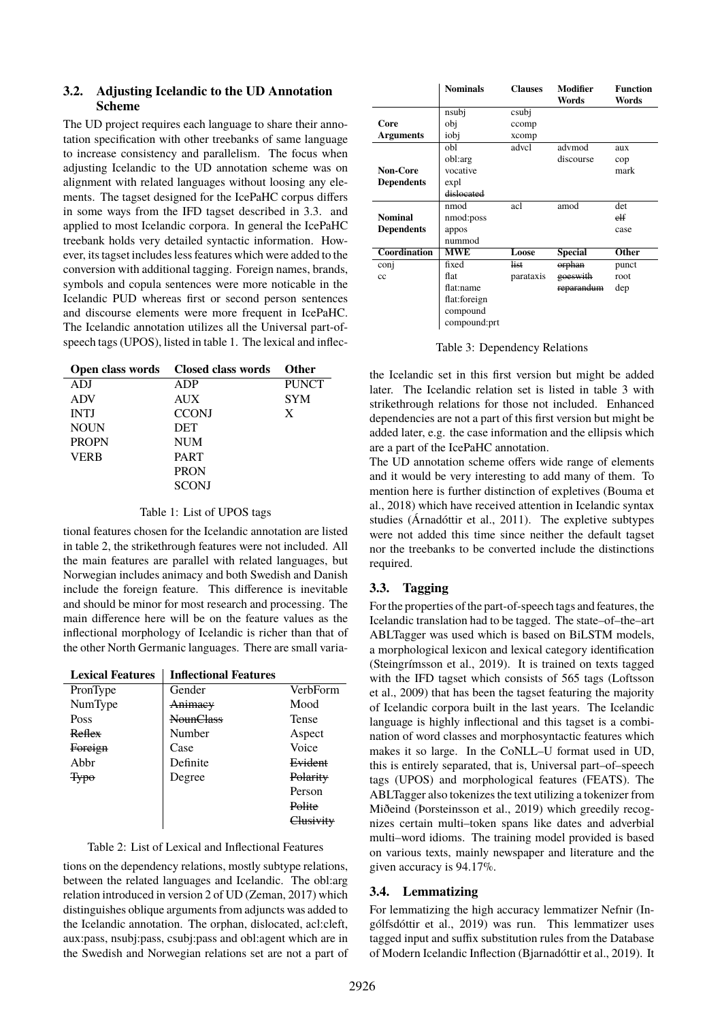### **3.2. Adjusting Icelandic to the UD Annotation Scheme**

The UD project requires each language to share their annotation specification with other treebanks of same language to increase consistency and parallelism. The focus when adjusting Icelandic to the UD annotation scheme was on alignment with related languages without loosing any elements. The tagset designed for the IcePaHC corpus differs in some ways from the IFD tagset described in [3.3.](#page-2-0) and applied to most Icelandic corpora. In general the IcePaHC treebank holds very detailed syntactic information. However, its tagset includes less features which were added to the conversion with additional tagging. Foreign names, brands, symbols and copula sentences were more noticable in the Icelandic PUD whereas first or second person sentences and discourse elements were more frequent in IcePaHC. The Icelandic annotation utilizes all the Universal part-ofspeech tags (UPOS), listed in table [1.](#page-2-1) The lexical and inflec-

<span id="page-2-1"></span>

| Open class words | Closed class words | Other        |
|------------------|--------------------|--------------|
| ADJ              | ADP                | <b>PUNCT</b> |
| <b>ADV</b>       | <b>AUX</b>         | <b>SYM</b>   |
| <b>INTJ</b>      | <b>CCONJ</b>       | X            |
| <b>NOUN</b>      | <b>DET</b>         |              |
| <b>PROPN</b>     | <b>NUM</b>         |              |
| VERB             | <b>PART</b>        |              |
|                  | <b>PRON</b>        |              |
|                  | <b>SCONJ</b>       |              |

#### Table 1: List of UPOS tags

tional features chosen for the Icelandic annotation are listed in table [2,](#page-2-2) the strikethrough features were not included. All the main features are parallel with related languages, but Norwegian includes animacy and both Swedish and Danish include the foreign feature. This difference is inevitable and should be minor for most research and processing. The main difference here will be on the feature values as the inflectional morphology of Icelandic is richer than that of the other North Germanic languages. There are small varia-

<span id="page-2-2"></span>

| <b>Lexical Features</b> | <b>Inflectional Features</b> |           |
|-------------------------|------------------------------|-----------|
| PronType                | Gender                       | VerbForm  |
| NumType                 | <b>Animacy</b>               | Mood      |
| Poss                    | <b>NounClass</b>             | Tense     |
| Reflex                  | Number                       | Aspect    |
| Foreign                 | Case                         | Voice     |
| Abbr                    | Definite                     | Evident   |
| $\Theta$                | Degree                       | Polarity  |
|                         |                              | Person    |
|                         |                              | Polite    |
|                         |                              | Chisivity |

tions on the dependency relations, mostly subtype relations, between the related languages and Icelandic. The obl:arg relation introduced in version 2 of UD [\(Zeman, 2017\)](#page-0-0) which distinguishes oblique arguments from adjuncts was added to the Icelandic annotation. The orphan, dislocated, acl:cleft, aux:pass, nsubj:pass, csubj:pass and obl:agent which are in the Swedish and Norwegian relations set are not a part of

<span id="page-2-3"></span>

|                   | <b>Nominals</b> | <b>Clauses</b> | Modifier<br>Words | <b>Function</b><br>Words |
|-------------------|-----------------|----------------|-------------------|--------------------------|
|                   | nsubj           | csubj          |                   |                          |
| Core              | obj             | ccomp          |                   |                          |
| <b>Arguments</b>  | iobi            | xcomp          |                   |                          |
|                   | obl             | advcl          | advmod            | aux                      |
|                   | obl:arg         |                | discourse         | cop                      |
| <b>Non-Core</b>   | vocative        |                |                   | mark                     |
| <b>Dependents</b> | expl            |                |                   |                          |
|                   | dislocated      |                |                   |                          |
|                   | nmod            | acl            | amod              | det                      |
| <b>Nominal</b>    | nmod:poss       |                |                   | elf                      |
| <b>Dependents</b> | appos           |                |                   | case                     |
|                   | nummod          |                |                   |                          |
| Coordination      | <b>MWE</b>      | Loose          | <b>Special</b>    | Other                    |
| conj              | fixed           | list           | orphan            | punct                    |
| cc                | flat            | parataxis      | goeswith          | root                     |
|                   | flat:name       |                | reparandum        | dep                      |
|                   | flat:foreign    |                |                   |                          |
|                   | compound        |                |                   |                          |
|                   | compound:prt    |                |                   |                          |

Table 3: Dependency Relations

the Icelandic set in this first version but might be added later. The Icelandic relation set is listed in table [3](#page-2-3) with strikethrough relations for those not included. Enhanced dependencies are not a part of this first version but might be added later, e.g. the case information and the ellipsis which are a part of the IcePaHC annotation.

The UD annotation scheme offers wide range of elements and it would be very interesting to add many of them. To mention here is further distinction of expletives [\(Bouma et](#page-0-0) [al., 2018\)](#page-0-0) which have received attention in Icelandic syntax studies [\(Árnadóttir et al., 2011\)](#page-0-0). The expletive subtypes were not added this time since neither the default tagset nor the treebanks to be converted include the distinctions required.

### <span id="page-2-0"></span>**3.3. Tagging**

For the properties of the part-of-speech tags and features, the Icelandic translation had to be tagged. The state–of–the–art ABLTagger was used which is based on BiLSTM models, a morphological lexicon and lexical category identification [\(Steingrímsson et al., 2019\)](#page-0-0). It is trained on texts tagged with the IFD tagset which consists of 565 tags [\(Loftsson](#page-0-0) [et al., 2009\)](#page-0-0) that has been the tagset featuring the majority of Icelandic corpora built in the last years. The Icelandic language is highly inflectional and this tagset is a combination of word classes and morphosyntactic features which makes it so large. In the CoNLL–U format used in UD, this is entirely separated, that is, Universal part–of–speech tags (UPOS) and morphological features (FEATS). The ABLTagger also tokenizes the text utilizing a tokenizer from Miðeind [\(Þorsteinsson et al., 2019\)](#page-0-0) which greedily recognizes certain multi–token spans like dates and adverbial multi–word idioms. The training model provided is based on various texts, mainly newspaper and literature and the given accuracy is 94.17%.

### **3.4. Lemmatizing**

For lemmatizing the high accuracy lemmatizer Nefnir [\(In](#page-0-0)[gólfsdóttir et al., 2019\)](#page-0-0) was run. This lemmatizer uses tagged input and suffix substitution rules from the Database of Modern Icelandic Inflection [\(Bjarnadóttir et al., 2019\)](#page-0-0). It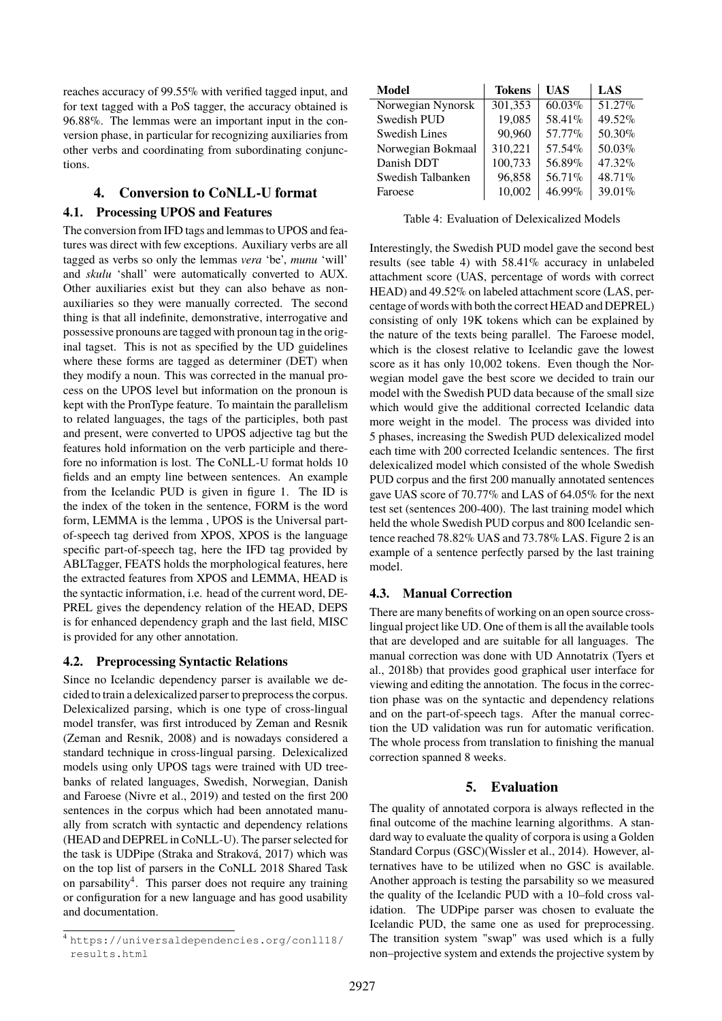reaches accuracy of 99.55% with verified tagged input, and for text tagged with a PoS tagger, the accuracy obtained is 96.88%. The lemmas were an important input in the conversion phase, in particular for recognizing auxiliaries from other verbs and coordinating from subordinating conjunctions.

# **4. Conversion to CoNLL-U format 4.1. Processing UPOS and Features**

The conversion from IFD tags and lemmas to UPOS and features was direct with few exceptions. Auxiliary verbs are all tagged as verbs so only the lemmas *vera* 'be', *munu* 'will' and *skulu* 'shall' were automatically converted to AUX. Other auxiliaries exist but they can also behave as nonauxiliaries so they were manually corrected. The second thing is that all indefinite, demonstrative, interrogative and possessive pronouns are tagged with pronoun tag in the original tagset. This is not as specified by the UD guidelines where these forms are tagged as determiner (DET) when they modify a noun. This was corrected in the manual process on the UPOS level but information on the pronoun is kept with the PronType feature. To maintain the parallelism to related languages, the tags of the participles, both past and present, were converted to UPOS adjective tag but the features hold information on the verb participle and therefore no information is lost. The CoNLL-U format holds 10 fields and an empty line between sentences. An example from the Icelandic PUD is given in figure [1.](#page-4-0) The ID is the index of the token in the sentence, FORM is the word form, LEMMA is the lemma , UPOS is the Universal partof-speech tag derived from XPOS, XPOS is the language specific part-of-speech tag, here the IFD tag provided by ABLTagger, FEATS holds the morphological features, here the extracted features from XPOS and LEMMA, HEAD is the syntactic information, i.e. head of the current word, DE-PREL gives the dependency relation of the HEAD, DEPS is for enhanced dependency graph and the last field, MISC is provided for any other annotation.

### **4.2. Preprocessing Syntactic Relations**

Since no Icelandic dependency parser is available we decided to train a delexicalized parser to preprocess the corpus. Delexicalized parsing, which is one type of cross-lingual model transfer, was first introduced by Zeman and Resnik [\(Zeman and Resnik, 2008\)](#page-0-0) and is nowadays considered a standard technique in cross-lingual parsing. Delexicalized models using only UPOS tags were trained with UD treebanks of related languages, Swedish, Norwegian, Danish and Faroese [\(Nivre et al., 2019\)](#page-0-0) and tested on the first 200 sentences in the corpus which had been annotated manually from scratch with syntactic and dependency relations (HEAD and DEPREL in CoNLL-U). The parser selected for the task is UDPipe [\(Straka and Straková, 2017\)](#page-0-0) which was on the top list of parsers in the CoNLL 2018 Shared Task on parsability<sup>[4](#page-0-0)</sup>. This parser does not require any training or configuration for a new language and has good usability and documentation.

<span id="page-3-0"></span>

| Model                | <b>Tokens</b> | UAS    | LAS    |
|----------------------|---------------|--------|--------|
| Norwegian Nynorsk    | 301,353       | 60.03% | 51.27% |
| Swedish PUD          | 19,085        | 58.41% | 49.52% |
| <b>Swedish Lines</b> | 90,960        | 57.77% | 50.30% |
| Norwegian Bokmaal    | 310,221       | 57.54% | 50.03% |
| Danish DDT           | 100,733       | 56.89% | 47.32% |
| Swedish Talbanken    | 96,858        | 56.71% | 48.71% |
| Faroese              | 10,002        | 46.99% | 39.01% |

Table 4: Evaluation of Delexicalized Models

Interestingly, the Swedish PUD model gave the second best results (see table [4\)](#page-3-0) with 58.41% accuracy in unlabeled attachment score (UAS, percentage of words with correct HEAD) and 49.52% on labeled attachment score (LAS, percentage of words with both the correct HEAD and DEPREL) consisting of only 19K tokens which can be explained by the nature of the texts being parallel. The Faroese model, which is the closest relative to Icelandic gave the lowest score as it has only 10,002 tokens. Even though the Norwegian model gave the best score we decided to train our model with the Swedish PUD data because of the small size which would give the additional corrected Icelandic data more weight in the model. The process was divided into 5 phases, increasing the Swedish PUD delexicalized model each time with 200 corrected Icelandic sentences. The first delexicalized model which consisted of the whole Swedish PUD corpus and the first 200 manually annotated sentences gave UAS score of 70.77% and LAS of 64.05% for the next test set (sentences 200-400). The last training model which held the whole Swedish PUD corpus and 800 Icelandic sentence reached 78.82% UAS and 73.78% LAS. Figure [2](#page-4-1) is an example of a sentence perfectly parsed by the last training model.

### **4.3. Manual Correction**

There are many benefits of working on an open source crosslingual project like UD. One of them is all the available tools that are developed and are suitable for all languages. The manual correction was done with UD Annotatrix [\(Tyers et](#page-0-0) [al., 2018b\)](#page-0-0) that provides good graphical user interface for viewing and editing the annotation. The focus in the correction phase was on the syntactic and dependency relations and on the part-of-speech tags. After the manual correction the UD validation was run for automatic verification. The whole process from translation to finishing the manual correction spanned 8 weeks.

## **5. Evaluation**

The quality of annotated corpora is always reflected in the final outcome of the machine learning algorithms. A standard way to evaluate the quality of corpora is using a Golden Standard Corpus (GSC)[\(Wissler et al., 2014\)](#page-0-0). However, alternatives have to be utilized when no GSC is available. Another approach is testing the parsability so we measured the quality of the Icelandic PUD with a 10–fold cross validation. The UDPipe parser was chosen to evaluate the Icelandic PUD, the same one as used for preprocessing. The transition system "swap" was used which is a fully non–projective system and extends the projective system by

<sup>4</sup> [https://universaldependencies.org/conll18/](https://universaldependencies.org/conll18/results.html) [results.html](https://universaldependencies.org/conll18/results.html)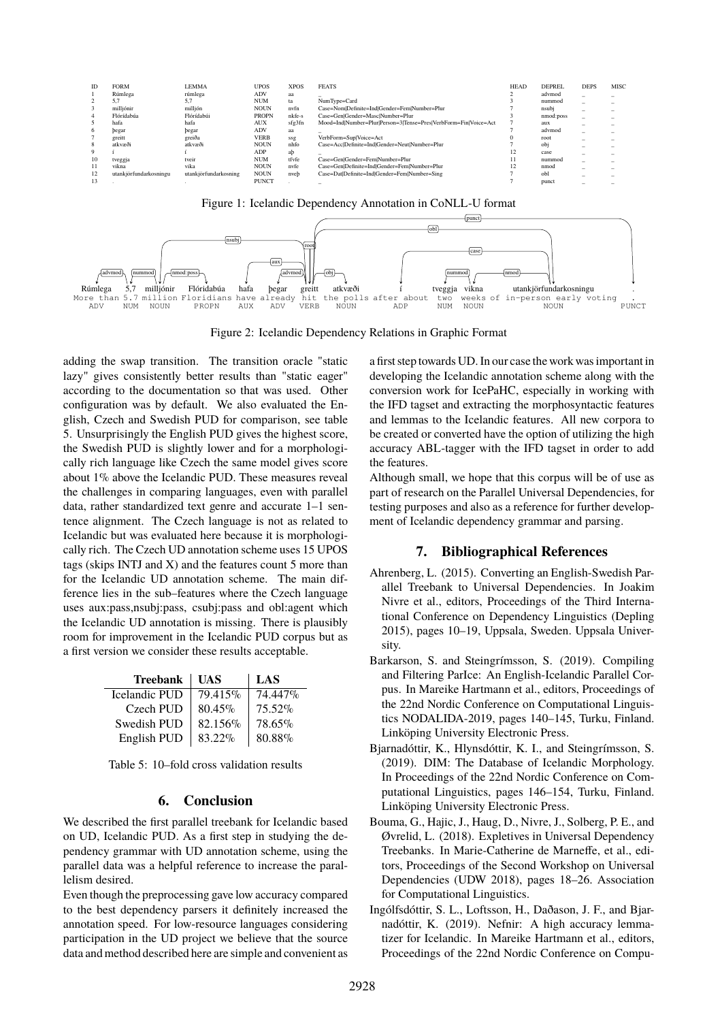<span id="page-4-0"></span>



<span id="page-4-1"></span>

Figure 2: Icelandic Dependency Relations in Graphic Format

adding the swap transition. The transition oracle "static lazy" gives consistently better results than "static eager" according to the documentation so that was used. Other configuration was by default. We also evaluated the English, Czech and Swedish PUD for comparison, see table [5.](#page-4-2) Unsurprisingly the English PUD gives the highest score, the Swedish PUD is slightly lower and for a morphologically rich language like Czech the same model gives score about 1% above the Icelandic PUD. These measures reveal the challenges in comparing languages, even with parallel data, rather standardized text genre and accurate 1–1 sentence alignment. The Czech language is not as related to Icelandic but was evaluated here because it is morphologically rich. The Czech UD annotation scheme uses 15 UPOS tags (skips INTJ and X) and the features count 5 more than for the Icelandic UD annotation scheme. The main difference lies in the sub–features where the Czech language uses aux:pass,nsubj:pass, csubj:pass and obl:agent which the Icelandic UD annotation is missing. There is plausibly room for improvement in the Icelandic PUD corpus but as a first version we consider these results acceptable.

<span id="page-4-2"></span>

| <b>Treebank</b> | UAS       | LAS     |
|-----------------|-----------|---------|
| Icelandic PUD   | 79.415%   | 74.447% |
| Czech PUD       | $80.45\%$ | 75.52%  |
| Swedish PUD     | 82.156%   | 78.65%  |
| English PUD     | 83.22%    | 80.88%  |

Table 5: 10–fold cross validation results

#### **6. Conclusion**

We described the first parallel treebank for Icelandic based on UD, Icelandic PUD. As a first step in studying the dependency grammar with UD annotation scheme, using the parallel data was a helpful reference to increase the parallelism desired.

Even though the preprocessing gave low accuracy compared to the best dependency parsers it definitely increased the annotation speed. For low-resource languages considering participation in the UD project we believe that the source data and method described here are simple and convenient as

a first step towards UD. In our case the work was important in developing the Icelandic annotation scheme along with the conversion work for IcePaHC, especially in working with the IFD tagset and extracting the morphosyntactic features and lemmas to the Icelandic features. All new corpora to be created or converted have the option of utilizing the high accuracy ABL-tagger with the IFD tagset in order to add the features.

Although small, we hope that this corpus will be of use as part of research on the Parallel Universal Dependencies, for testing purposes and also as a reference for further development of Icelandic dependency grammar and parsing.

### **7. Bibliographical References**

- Ahrenberg, L. (2015). Converting an English-Swedish Parallel Treebank to Universal Dependencies. In Joakim Nivre et al., editors, Proceedings of the Third International Conference on Dependency Linguistics (Depling 2015), pages 10–19, Uppsala, Sweden. Uppsala University.
- Barkarson, S. and Steingrímsson, S. (2019). Compiling and Filtering ParIce: An English-Icelandic Parallel Corpus. In Mareike Hartmann et al., editors, Proceedings of the 22nd Nordic Conference on Computational Linguistics NODALIDA-2019, pages 140–145, Turku, Finland. Linköping University Electronic Press.
- Bjarnadóttir, K., Hlynsdóttir, K. I., and Steingrímsson, S. (2019). DIM: The Database of Icelandic Morphology. In Proceedings of the 22nd Nordic Conference on Computational Linguistics, pages 146–154, Turku, Finland. Linköping University Electronic Press.
- Bouma, G., Hajic, J., Haug, D., Nivre, J., Solberg, P. E., and Øvrelid, L. (2018). Expletives in Universal Dependency Treebanks. In Marie-Catherine de Marneffe, et al., editors, Proceedings of the Second Workshop on Universal Dependencies (UDW 2018), pages 18–26. Association for Computational Linguistics.
- Ingólfsdóttir, S. L., Loftsson, H., Daðason, J. F., and Bjarnadóttir, K. (2019). Nefnir: A high accuracy lemmatizer for Icelandic. In Mareike Hartmann et al., editors, Proceedings of the 22nd Nordic Conference on Compu-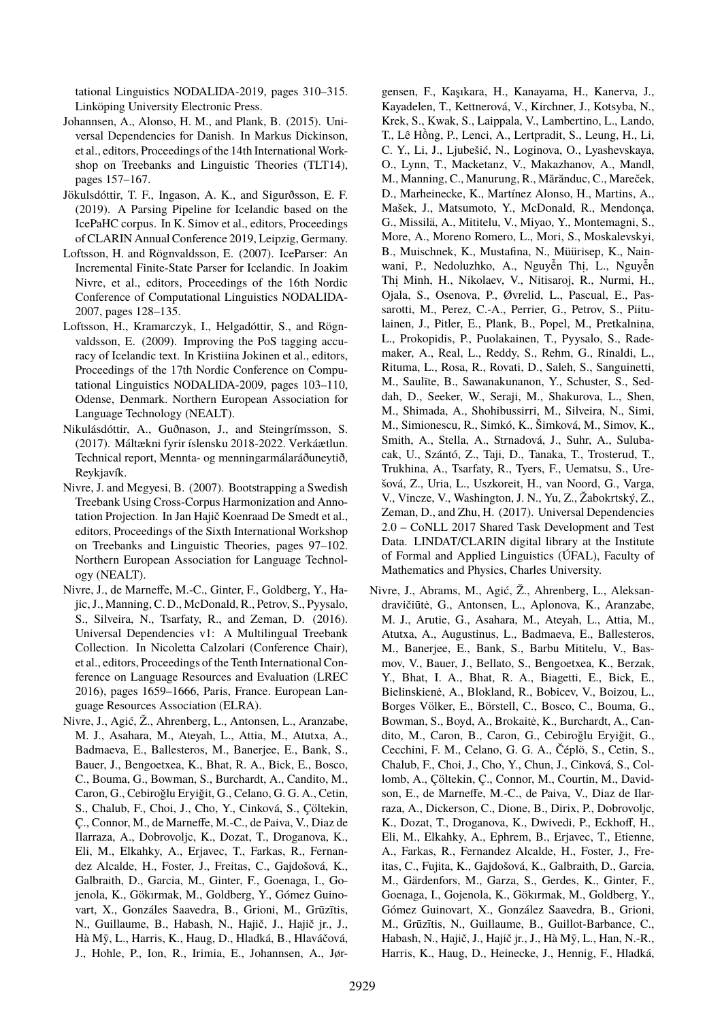tational Linguistics NODALIDA-2019, pages 310–315. Linköping University Electronic Press.

- Johannsen, A., Alonso, H. M., and Plank, B. (2015). Universal Dependencies for Danish. In Markus Dickinson, et al., editors, Proceedings of the 14th International Workshop on Treebanks and Linguistic Theories (TLT14), pages 157–167.
- Jökulsdóttir, T. F., Ingason, A. K., and Sigurðsson, E. F. (2019). A Parsing Pipeline for Icelandic based on the IcePaHC corpus. In K. Simov et al., editors, Proceedings of CLARIN Annual Conference 2019, Leipzig, Germany.
- Loftsson, H. and Rögnvaldsson, E. (2007). IceParser: An Incremental Finite-State Parser for Icelandic. In Joakim Nivre, et al., editors, Proceedings of the 16th Nordic Conference of Computational Linguistics NODALIDA-2007, pages 128–135.
- Loftsson, H., Kramarczyk, I., Helgadóttir, S., and Rögnvaldsson, E. (2009). Improving the PoS tagging accuracy of Icelandic text. In Kristiina Jokinen et al., editors, Proceedings of the 17th Nordic Conference on Computational Linguistics NODALIDA-2009, pages 103–110, Odense, Denmark. Northern European Association for Language Technology (NEALT).
- Nikulásdóttir, A., Guðnason, J., and Steingrímsson, S. (2017). Máltækni fyrir íslensku 2018-2022. Verkáætlun. Technical report, Mennta- og menningarmálaráðuneytið, Reykjavík.
- Nivre, J. and Megyesi, B. (2007). Bootstrapping a Swedish Treebank Using Cross-Corpus Harmonization and Annotation Projection. In Jan Hajič Koenraad De Smedt et al., editors, Proceedings of the Sixth International Workshop on Treebanks and Linguistic Theories, pages 97–102. Northern European Association for Language Technology (NEALT).
- Nivre, J., de Marneffe, M.-C., Ginter, F., Goldberg, Y., Hajic, J., Manning, C. D., McDonald, R., Petrov, S., Pyysalo, S., Silveira, N., Tsarfaty, R., and Zeman, D. (2016). Universal Dependencies v1: A Multilingual Treebank Collection. In Nicoletta Calzolari (Conference Chair), et al., editors, Proceedings of the Tenth International Conference on Language Resources and Evaluation (LREC 2016), pages 1659–1666, Paris, France. European Language Resources Association (ELRA).
- Nivre, J., Agić, Ž., Ahrenberg, L., Antonsen, L., Aranzabe, M. J., Asahara, M., Ateyah, L., Attia, M., Atutxa, A., Badmaeva, E., Ballesteros, M., Banerjee, E., Bank, S., Bauer, J., Bengoetxea, K., Bhat, R. A., Bick, E., Bosco, C., Bouma, G., Bowman, S., Burchardt, A., Candito, M., Caron, G., Cebiroğlu Eryiğit, G., Celano, G. G. A., Cetin, S., Chalub, F., Choi, J., Cho, Y., Cinková, S., Çöltekin, Ç., Connor, M., de Marneffe, M.-C., de Paiva, V., Diaz de Ilarraza, A., Dobrovoljc, K., Dozat, T., Droganova, K., Eli, M., Elkahky, A., Erjavec, T., Farkas, R., Fernandez Alcalde, H., Foster, J., Freitas, C., Gajdošová, K., Galbraith, D., Garcia, M., Ginter, F., Goenaga, I., Gojenola, K., Gökırmak, M., Goldberg, Y., Gómez Guinovart, X., Gonzáles Saavedra, B., Grioni, M., Grūzītis, N., Guillaume, B., Habash, N., Hajič, J., Hajič jr., J., Hà Mỹ, L., Harris, K., Haug, D., Hladká, B., Hlaváčová, J., Hohle, P., Ion, R., Irimia, E., Johannsen, A., Jør-

gensen, F., Kaşıkara, H., Kanayama, H., Kanerva, J., Kayadelen, T., Kettnerová, V., Kirchner, J., Kotsyba, N., Krek, S., Kwak, S., Laippala, V., Lambertino, L., Lando, T., Lê Hông, P., Lenci, A., Lertpradit, S., Leung, H., Li, ` C. Y., Li, J., Ljubešić, N., Loginova, O., Lyashevskaya, O., Lynn, T., Macketanz, V., Makazhanov, A., Mandl, M., Manning, C., Manurung, R., Mărănduc, C., Mareček, D., Marheinecke, K., Martínez Alonso, H., Martins, A., Mašek, J., Matsumoto, Y., McDonald, R., Mendonça, G., Missilä, A., Mititelu, V., Miyao, Y., Montemagni, S., More, A., Moreno Romero, L., Mori, S., Moskalevskyi, B., Muischnek, K., Mustafina, N., Müürisep, K., Nainwani, P., Nedoluzhko, A., Nguyễn Thị, L., Nguyễn Thi . Minh, H., Nikolaev, V., Nitisaroj, R., Nurmi, H., Ojala, S., Osenova, P., Øvrelid, L., Pascual, E., Passarotti, M., Perez, C.-A., Perrier, G., Petrov, S., Piitulainen, J., Pitler, E., Plank, B., Popel, M., Pretkalnina, L., Prokopidis, P., Puolakainen, T., Pyysalo, S., Rademaker, A., Real, L., Reddy, S., Rehm, G., Rinaldi, L., Rituma, L., Rosa, R., Rovati, D., Saleh, S., Sanguinetti, M., Saulīte, B., Sawanakunanon, Y., Schuster, S., Seddah, D., Seeker, W., Seraji, M., Shakurova, L., Shen, M., Shimada, A., Shohibussirri, M., Silveira, N., Simi, M., Simionescu, R., Simkó, K., Šimková, M., Simov, K., Smith, A., Stella, A., Strnadová, J., Suhr, A., Sulubacak, U., Szántó, Z., Taji, D., Tanaka, T., Trosterud, T., Trukhina, A., Tsarfaty, R., Tyers, F., Uematsu, S., Urešová, Z., Uria, L., Uszkoreit, H., van Noord, G., Varga, V., Vincze, V., Washington, J. N., Yu, Z., Žabokrtský, Z., Zeman, D., and Zhu, H. (2017). Universal Dependencies 2.0 – CoNLL 2017 Shared Task Development and Test Data. LINDAT/CLARIN digital library at the Institute of Formal and Applied Linguistics (ÚFAL), Faculty of Mathematics and Physics, Charles University.

Nivre, J., Abrams, M., Agić, Ž., Ahrenberg, L., Aleksandravičiūtė, G., Antonsen, L., Aplonova, K., Aranzabe, M. J., Arutie, G., Asahara, M., Ateyah, L., Attia, M., Atutxa, A., Augustinus, L., Badmaeva, E., Ballesteros, M., Banerjee, E., Bank, S., Barbu Mititelu, V., Basmov, V., Bauer, J., Bellato, S., Bengoetxea, K., Berzak, Y., Bhat, I. A., Bhat, R. A., Biagetti, E., Bick, E., Bielinskienė, A., Blokland, R., Bobicev, V., Boizou, L., Borges Völker, E., Börstell, C., Bosco, C., Bouma, G., Bowman, S., Boyd, A., Brokaitė, K., Burchardt, A., Candito, M., Caron, B., Caron, G., Cebiroğlu Eryiğit, G., Cecchini, F. M., Celano, G. G. A., Čéplö, S., Cetin, S., Chalub, F., Choi, J., Cho, Y., Chun, J., Cinková, S., Collomb, A., Çöltekin, Ç., Connor, M., Courtin, M., Davidson, E., de Marneffe, M.-C., de Paiva, V., Diaz de Ilarraza, A., Dickerson, C., Dione, B., Dirix, P., Dobrovoljc, K., Dozat, T., Droganova, K., Dwivedi, P., Eckhoff, H., Eli, M., Elkahky, A., Ephrem, B., Erjavec, T., Etienne, A., Farkas, R., Fernandez Alcalde, H., Foster, J., Freitas, C., Fujita, K., Gajdošová, K., Galbraith, D., Garcia, M., Gärdenfors, M., Garza, S., Gerdes, K., Ginter, F., Goenaga, I., Gojenola, K., Gökırmak, M., Goldberg, Y., Gómez Guinovart, X., González Saavedra, B., Grioni, M., Grūzītis, N., Guillaume, B., Guillot-Barbance, C., Habash, N., Hajič, J., Hajič jr., J., Hà Mỹ, L., Han, N.-R., Harris, K., Haug, D., Heinecke, J., Hennig, F., Hladká,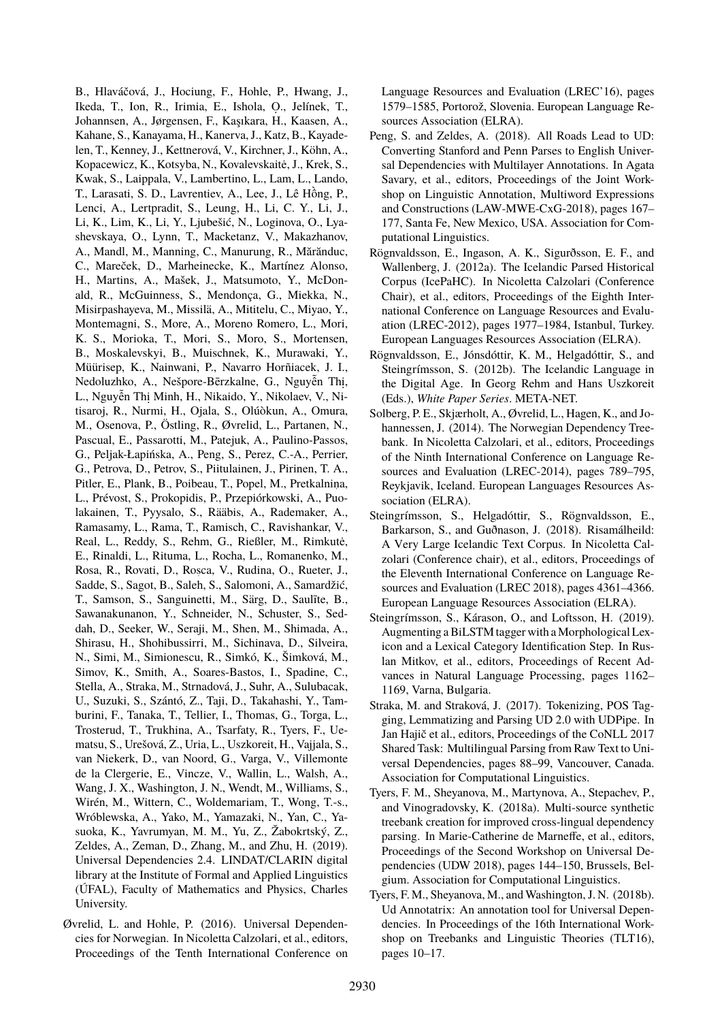B., Hlaváčová, J., Hociung, F., Hohle, P., Hwang, J., Ikeda, T., Ion, R., Irimia, E., Ishola, O. ., Jelínek, T., Johannsen, A., Jørgensen, F., Kaşıkara, H., Kaasen, A., Kahane, S., Kanayama, H., Kanerva, J., Katz, B., Kayadelen, T., Kenney, J., Kettnerová, V., Kirchner, J., Köhn, A., Kopacewicz, K., Kotsyba, N., Kovalevskaite, J., Krek, S., ˙ Kwak, S., Laippala, V., Lambertino, L., Lam, L., Lando, T., Larasati, S. D., Lavrentiev, A., Lee, J., Lê Hông, P., ` Lenci, A., Lertpradit, S., Leung, H., Li, C. Y., Li, J., Li, K., Lim, K., Li, Y., Ljubešić, N., Loginova, O., Lyashevskaya, O., Lynn, T., Macketanz, V., Makazhanov, A., Mandl, M., Manning, C., Manurung, R., Mărănduc, C., Mareček, D., Marheinecke, K., Martínez Alonso, H., Martins, A., Mašek, J., Matsumoto, Y., McDonald, R., McGuinness, S., Mendonça, G., Miekka, N., Misirpashayeva, M., Missilä, A., Mititelu, C., Miyao, Y., Montemagni, S., More, A., Moreno Romero, L., Mori, K. S., Morioka, T., Mori, S., Moro, S., Mortensen, B., Moskalevskyi, B., Muischnek, K., Murawaki, Y., Müürisep, K., Nainwani, P., Navarro Horñiacek, J. I., Nedoluzhko, A., Nešpore-Bērzkalne, G., Nguyễn Thị, L., Nguyễn Thị Minh, H., Nikaido, Y., Nikolaev, V., Nitisaroj, R., Nurmi, H., Ojala, S., Olúòkun, A., Omura, M., Osenova, P., Östling, R., Øvrelid, L., Partanen, N., Pascual, E., Passarotti, M., Patejuk, A., Paulino-Passos, G., Peljak-Łapińska, A., Peng, S., Perez, C.-A., Perrier, G., Petrova, D., Petrov, S., Piitulainen, J., Pirinen, T. A., Pitler, E., Plank, B., Poibeau, T., Popel, M., Pretkalnina, L., Prévost, S., Prokopidis, P., Przepiórkowski, A., Puolakainen, T., Pyysalo, S., Rääbis, A., Rademaker, A., Ramasamy, L., Rama, T., Ramisch, C., Ravishankar, V., Real, L., Reddy, S., Rehm, G., Rießler, M., Rimkutė, E., Rinaldi, L., Rituma, L., Rocha, L., Romanenko, M., Rosa, R., Rovati, D., Roșca, V., Rudina, O., Rueter, J., Sadde, S., Sagot, B., Saleh, S., Salomoni, A., Samardžić, T., Samson, S., Sanguinetti, M., Särg, D., Saulīte, B., Sawanakunanon, Y., Schneider, N., Schuster, S., Seddah, D., Seeker, W., Seraji, M., Shen, M., Shimada, A., Shirasu, H., Shohibussirri, M., Sichinava, D., Silveira, N., Simi, M., Simionescu, R., Simkó, K., Šimková, M., Simov, K., Smith, A., Soares-Bastos, I., Spadine, C., Stella, A., Straka, M., Strnadová, J., Suhr, A., Sulubacak, U., Suzuki, S., Szántó, Z., Taji, D., Takahashi, Y., Tamburini, F., Tanaka, T., Tellier, I., Thomas, G., Torga, L., Trosterud, T., Trukhina, A., Tsarfaty, R., Tyers, F., Uematsu, S., Urešová, Z., Uria, L., Uszkoreit, H., Vajjala, S., van Niekerk, D., van Noord, G., Varga, V., Villemonte de la Clergerie, E., Vincze, V., Wallin, L., Walsh, A., Wang, J. X., Washington, J. N., Wendt, M., Williams, S., Wirén, M., Wittern, C., Woldemariam, T., Wong, T.-s., Wróblewska, A., Yako, M., Yamazaki, N., Yan, C., Yasuoka, K., Yavrumyan, M. M., Yu, Z., Žabokrtský, Z., Zeldes, A., Zeman, D., Zhang, M., and Zhu, H. (2019). Universal Dependencies 2.4. LINDAT/CLARIN digital library at the Institute of Formal and Applied Linguistics (ÚFAL), Faculty of Mathematics and Physics, Charles University.

Øvrelid, L. and Hohle, P. (2016). Universal Dependencies for Norwegian. In Nicoletta Calzolari, et al., editors, Proceedings of the Tenth International Conference on Language Resources and Evaluation (LREC'16), pages 1579–1585, Portorož, Slovenia. European Language Resources Association (ELRA).

- Peng, S. and Zeldes, A. (2018). All Roads Lead to UD: Converting Stanford and Penn Parses to English Universal Dependencies with Multilayer Annotations. In Agata Savary, et al., editors, Proceedings of the Joint Workshop on Linguistic Annotation, Multiword Expressions and Constructions (LAW-MWE-CxG-2018), pages 167– 177, Santa Fe, New Mexico, USA. Association for Computational Linguistics.
- Rögnvaldsson, E., Ingason, A. K., Sigurðsson, E. F., and Wallenberg, J. (2012a). The Icelandic Parsed Historical Corpus (IcePaHC). In Nicoletta Calzolari (Conference Chair), et al., editors, Proceedings of the Eighth International Conference on Language Resources and Evaluation (LREC-2012), pages 1977–1984, Istanbul, Turkey. European Languages Resources Association (ELRA).
- Rögnvaldsson, E., Jónsdóttir, K. M., Helgadóttir, S., and Steingrímsson, S. (2012b). The Icelandic Language in the Digital Age. In Georg Rehm and Hans Uszkoreit (Eds.), *White Paper Series*. META-NET.
- Solberg, P. E., Skjærholt, A., Øvrelid, L., Hagen, K., and Johannessen, J. (2014). The Norwegian Dependency Treebank. In Nicoletta Calzolari, et al., editors, Proceedings of the Ninth International Conference on Language Resources and Evaluation (LREC-2014), pages 789–795, Reykjavik, Iceland. European Languages Resources Association (ELRA).
- Steingrímsson, S., Helgadóttir, S., Rögnvaldsson, E., Barkarson, S., and Guðnason, J. (2018). Risamálheild: A Very Large Icelandic Text Corpus. In Nicoletta Calzolari (Conference chair), et al., editors, Proceedings of the Eleventh International Conference on Language Resources and Evaluation (LREC 2018), pages 4361–4366. European Language Resources Association (ELRA).
- Steingrímsson, S., Kárason, O., and Loftsson, H. (2019). Augmenting a BiLSTM tagger with a Morphological Lexicon and a Lexical Category Identification Step. In Ruslan Mitkov, et al., editors, Proceedings of Recent Advances in Natural Language Processing, pages 1162– 1169, Varna, Bulgaria.
- Straka, M. and Straková, J. (2017). Tokenizing, POS Tagging, Lemmatizing and Parsing UD 2.0 with UDPipe. In Jan Hajič et al., editors, Proceedings of the CoNLL 2017 Shared Task: Multilingual Parsing from Raw Text to Universal Dependencies, pages 88–99, Vancouver, Canada. Association for Computational Linguistics.
- Tyers, F. M., Sheyanova, M., Martynova, A., Stepachev, P., and Vinogradovsky, K. (2018a). Multi-source synthetic treebank creation for improved cross-lingual dependency parsing. In Marie-Catherine de Marneffe, et al., editors, Proceedings of the Second Workshop on Universal Dependencies (UDW 2018), pages 144–150, Brussels, Belgium. Association for Computational Linguistics.
- Tyers, F. M., Sheyanova, M., and Washington, J. N. (2018b). Ud Annotatrix: An annotation tool for Universal Dependencies. In Proceedings of the 16th International Workshop on Treebanks and Linguistic Theories (TLT16), pages 10–17.